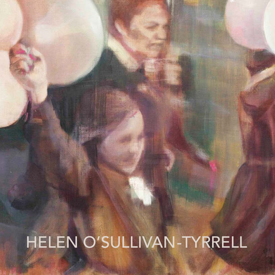# Helen O'Sullivan-Tyrrell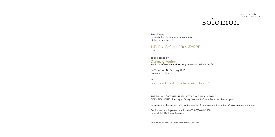## solomon

Tara Murphy requests the pleasure of your company at the private view of

#### Helen O'Sullivan-Tyrrell TRIBE

to be opened by Diarmaid Ferriter Professor of Modern Irish History, University College Dublin

on Thursday 11th February 2016 from 6pm to 8pm

at Solomon Fine Art, Balfe Street, Dublin 2

THE SHOW CONTINUES UNTIL SATURDAY 5 MARCH 2016 OPENING HOURS: Tuesday to Friday 10am – 5.30pm / Saturday 11am – 4pm

Artworks may be viewed prior to the opening by appointment or online at www.solomonfineart.ie

For further details please telephone +353 (0)86 8142380 or email info@solomonfineart.ie

Front cover: ST PATRICK'S DAY, oil on canvas, 50 x 60cm

artists' agents fine art consultants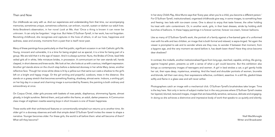#### Then and Now

Our childhoods we carry with us. And our experiences and understanding from that time, our accompanying memories, sometimes unique, sometimes collective, can enliven, nourish, sustain or darken our adult lives. Anita Brookner's observation, in her novel Look at Me, that 'Once a thing is known it can never be unknown. It can only be forgotten.' rings true. But Helen O'Sullivan-Tyrrell, in her work, has not forgotten. Revisiting childhood, she recognises and captures in the lives of others, in all our lives, happiness and sadness, ease and anxiety, moments from a past that is itself never past.

Many of these paintings focus particularly on that first public, significant occasion in an Irish Catholic girl's life. Young, innocent and vulnerable, it is a time for being singled out as special, it is a time for being part of a group. We are told that it is the age of reason. And it is always summer. Nuns, the Brides of Christ, lead little veiled girls all in white, little miniature brides, in procession. A communicant on her own stands tall, hands clasped, in short sleeves and knee-socks. We look at her; she looks at us with a serious, intelligent expression. Another girl stands alone on the church step before a darkened doorway in her white Mary Janes; another reflective face. Though her snow-white dress is lit by a yellow sun that same sun casts a shadow to the girl's left on a bright and happy image. Or the girl smiling and prayerful, outdoors, trees in the distance. She stands on a grassy stretch that becomes something floating, shadowy, almost eerie. Indoors, a smiling girl, on her big day in a casual and charming image is surrounded by flowers; the painting is both ordinary and extraordinary at once.

On Corpus Christi, older girls process with baskets of rose petals, diaphanous, shimmering figures, almost ghostly, in bright sunshine. Behind them, and just within the frame, an adult, darker presence. A Communion class image of eighteen rosette-wearing boys in short trousers is one of frozen happiness.

These works with their architectural features or conventionally wimpled nun returns us to another time. An older girl in a doorway observes and with that simple detail O'Sullivan-Tyrrell invites the viewer to shape a narrative. Younger becomes older. For these girls, the world is all before them: what will become of them? What will they become?

In her story Child's Play, Alice Munro says that 'Every year, when you're a child, you become a different person.' For O'Sullivan-Tyrrell, institutionalised, organised childhoods give way, in some images, to something freer and freeing: two lads with ice-cream cones. One is about to enjoy that taste forever, the other holding his treat with calm contentment. Or, in another work, girls, in their best dresses, stride by holding aloft bunches of balloons. In these happy paintings it is forever summer, forever ice-cream, forever balloons.

Like so many of O'Sullivan-Tyrrell's work, the portrait of a family against a five-barred gate of a uniformed man with his wife and two children, an image that is both formal and relaxed, is sepia-tinged. Yet again the viewer is prompted to ask and to wonder where are they now, to wonder if between that moment, from a bygone age, and the very moment we stand before it, has death been there? Have they since become dear shadows?

In contrast, the midwife, another institutionalised figure from long ago, starched, capable, smiling, life-giving, against hospital green, presents us with a sense of what a girl could become. But this exhibition also brings us contemporary images of teenagers and women. A girl in bed strokes a cat; a girl gently holds her cat, their eyes deep, mysterious, arresting. And the head and shoulder portraits of women, brunette and blonde, tell their own story, their expressions reflective, confident, assertive. In a still life, gladioli blaze softly and flame in a glass vase and will never wither.

Photographers catch an image with a mechanical click. O'Sullivan-Tyrrell's brushstrokes take longer. Time is the key here. Not only in terms of subject matter but in the very process where O'Sullivan-Tyrrell creates her layered, blurred, textured images, images that are beautifully sensitive, sensuous, delicate and engaging. In doing so she achieves a distinctive and impressive body of work that speaks to us quietly and silently.

Niall MacMonagle Writer and Broadcaster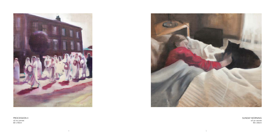SUN DAY MORNIN G oil on canvas 50 x 60cm





PROCESSION II oil on canvas 60 x 50cm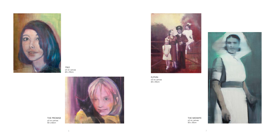THE PROMISE oil on canvas 50 x 60cm





1963 oil on canvas 60 x 50cm



ELPHIN oil on canvas 60 x 50cm

> THE MIDWIFE oil on canvas 50 x 30cm

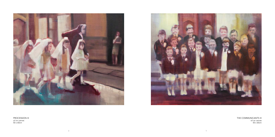



PROCESSION III oil on canvas 50 x 60cm

TH E COMMUNI CANTS III oil on canvas 50 x 60cm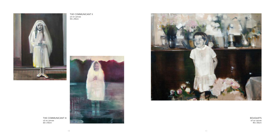THE COMMUNICANT III oil on canvas 60 x 50cm





THE COMMUNICANT II oil on canvas 50 x 40cm



BOUQUETS oil on canvas 40 x 50cm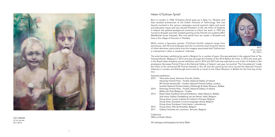

I C E-CREA M oil on canvas 60 x 50cm

#### Helen O'Sullivan-Tyrrell

Born in London in 1968, O'Sullivan-Tyrrell grew up in Bray, Co. Wicklow and later studied architecture at the Dublin Institute of Technology. She was heavily involved in the various campaigns around women's rights and social and education issues and was elected President of U S I, the Union of Students in Ireland. Her political background continues to inform her work. In 1995 she moved to Brussels and later studied painting at the Flemish art academy BKO (Beeldende Kunst Overijse). She now paints from her studio in Brussels and lives in the village of Tervuren in Flanders.

While mainly a figurative painter, O'Sullivan-Tyrrell's subjects range from portraiture, still life and landscape and she is currently examining the theme of tribal identities; particularly how the imagery associated with Catholicism is intertwined in what is viewed as ' Irishness'.

**Collections** Office of Public Works

The artist has been exhibiting her work in Belgium for a number of years. She was selected in the regional final of 'De Canvascollectie' (Belgium) in 2012 and was amongst the finalists of the 2014 Belfius Art Prize. In 2013 she took part in the Royal Ulster Academy annual exhibition and in 2014 and 2015 she was selected as one of the 12 finalists in the prestigious Hennessy Portrait Prize at the National Gallery of Ireland. Last year, her portrait 'The Convalescent' made the finals of the renowned BP Portrait Awards in the UK and the painting has since toured the National Portrait Galleries in London and Edinburgh and is shortly to travel to the Ulster Museum in Belfast for the final leg of the tour.



SEL F oil on canvas 40 x 40cm

#### Selected exhibitions

- 2015 Tribe (solo show), Solomon Fine Art, Dublin Hennessy Portrait Prize – Finalist, National Gallery of Ireland BP Portrait Award ( UK) – Finalist, National Portrait Gallery, London, Scottish National Portrait Gallery, Edinburgh & Ulster Museum, Belfast
- 2014 Hennessy Portrait Prize Finalist, National Gallery of Ireland Belfius Art Prize (Belgium) - Finalist
- 2013 Royal Ulster Academy Annual Exhibition, Ulster Museum, Belfast Solo show, Gallery Ontdekking van de Hemel, Halle, Belgium Group show, Leuven Institute for Ireland in Europe, Belgium Group show, European Council Language Library, Belgium Group show, European Commission, Luxembourg
- 2012 Group show, Ville de Bruxelles, Belgium
- 2011 Gallery Charlotte van Lorreinen, Tervuren, Belgium

All catalogue photography by Gerry Blake